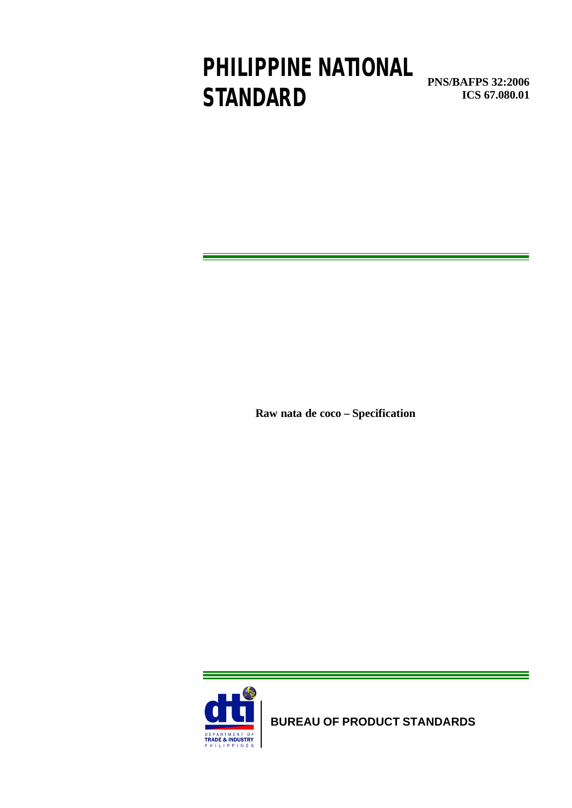# **PHILIPPINE NATIONAL STANDARD**

**PNS/BAFPS 32:2006 ICS 67.080.01**

**Raw nata de coco – Specification** 



**BUREAU OF PRODUCT STANDARDS**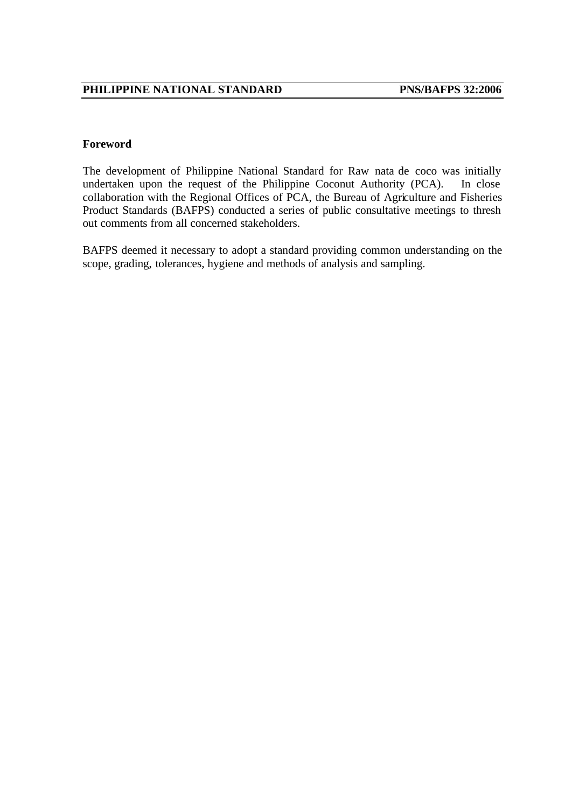#### **Foreword**

The development of Philippine National Standard for Raw nata de coco was initially undertaken upon the request of the Philippine Coconut Authority (PCA). In close collaboration with the Regional Offices of PCA, the Bureau of Agriculture and Fisheries Product Standards (BAFPS) conducted a series of public consultative meetings to thresh out comments from all concerned stakeholders.

BAFPS deemed it necessary to adopt a standard providing common understanding on the scope, grading, tolerances, hygiene and methods of analysis and sampling.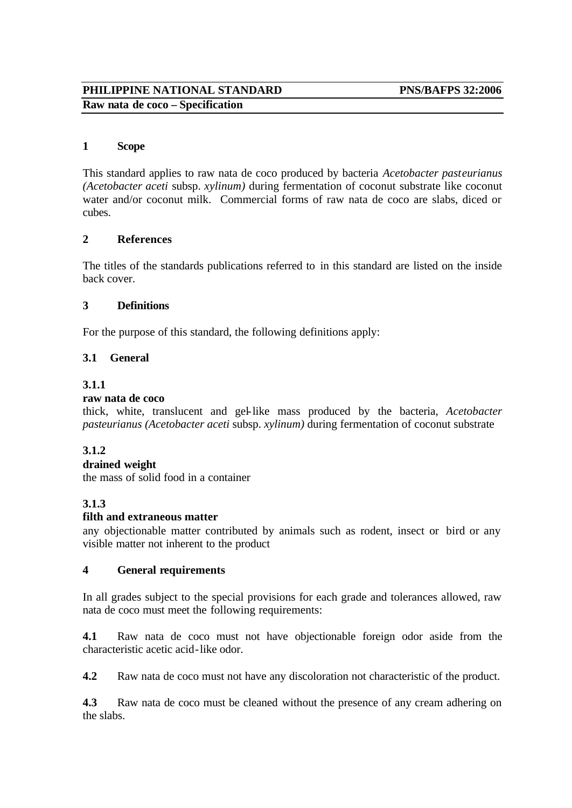### **PHILIPPINE NATIONAL STANDARD PNS/BAFPS 32:2006 Raw nata de coco – Specification**

#### **1 Scope**

This standard applies to raw nata de coco produced by bacteria *Acetobacter pasteurianus (Acetobacter aceti* subsp. *xylinum)* during fermentation of coconut substrate like coconut water and/or coconut milk. Commercial forms of raw nata de coco are slabs, diced or cubes.

#### **2 References**

The titles of the standards publications referred to in this standard are listed on the inside back cover.

#### **3 Definitions**

For the purpose of this standard, the following definitions apply:

#### **3.1 General**

#### **3.1.1**

#### **raw nata de coco**

thick, white, translucent and gel-like mass produced by the bacteria, *Acetobacter pasteurianus (Acetobacter aceti* subsp. *xylinum)* during fermentation of coconut substrate

#### **3.1.2**

#### **drained weight**

the mass of solid food in a container

#### **3.1.3**

#### **filth and extraneous matter**

any objectionable matter contributed by animals such as rodent, insect or bird or any visible matter not inherent to the product

#### **4 General requirements**

In all grades subject to the special provisions for each grade and tolerances allowed, raw nata de coco must meet the following requirements:

**4.1** Raw nata de coco must not have objectionable foreign odor aside from the characteristic acetic acid-like odor.

**4.2** Raw nata de coco must not have any discoloration not characteristic of the product.

**4.3** Raw nata de coco must be cleaned without the presence of any cream adhering on the slabs.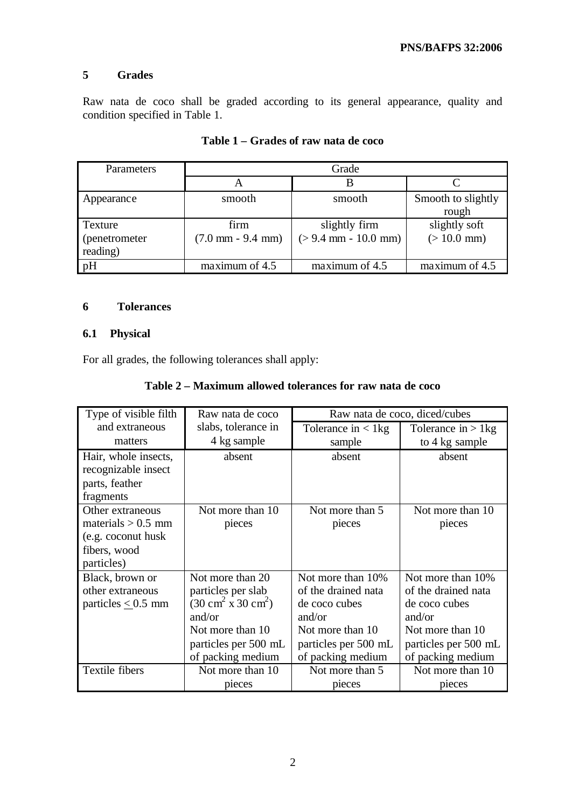#### **5 Grades**

Raw nata de coco shall be graded according to its general appearance, quality and condition specified in Table 1.

| Parameters     | Grade                               |                        |                    |
|----------------|-------------------------------------|------------------------|--------------------|
|                | A                                   |                        |                    |
| Appearance     | smooth                              | smooth                 | Smooth to slightly |
|                |                                     |                        | rough              |
| Texture        | firm                                | slightly firm          | slightly soft      |
| (penetrometer) | $(7.0 \text{ mm} - 9.4 \text{ mm})$ | $(> 9.4$ mm - 10.0 mm) | $(>10.0$ mm)       |
| reading)       |                                     |                        |                    |
| pH             | maximum of 4.5                      | maximum of 4.5         | maximum of 4.5     |

### **Table 1 – Grades of raw nata de coco**

#### **6 Tolerances**

#### **6.1 Physical**

For all grades, the following tolerances shall apply:

#### **Table 2 – Maximum allowed tolerances for raw nata de coco**

| Type of visible filth                                                                         | Raw nata de coco                                                                                                                                                    | Raw nata de coco, diced/cubes                                                                                                        |                                                                                                                                      |
|-----------------------------------------------------------------------------------------------|---------------------------------------------------------------------------------------------------------------------------------------------------------------------|--------------------------------------------------------------------------------------------------------------------------------------|--------------------------------------------------------------------------------------------------------------------------------------|
| and extraneous                                                                                | slabs, tolerance in                                                                                                                                                 | Tolerance in $\langle 1 \rangle$                                                                                                     | Tolerance in $> 1$ kg                                                                                                                |
| matters                                                                                       | 4 kg sample                                                                                                                                                         | sample                                                                                                                               | to 4 kg sample                                                                                                                       |
| Hair, whole insects,<br>recognizable insect<br>parts, feather<br>fragments                    | absent                                                                                                                                                              | absent                                                                                                                               | absent                                                                                                                               |
| Other extraneous<br>materials $> 0.5$ mm<br>(e.g. coconut husk)<br>fibers, wood<br>particles) | Not more than 10<br>pieces                                                                                                                                          | Not more than 5<br>pieces                                                                                                            | Not more than 10<br>pieces                                                                                                           |
| Black, brown or<br>other extraneous<br>particles $\leq$ 0.5 mm                                | Not more than 20<br>particles per slab<br>$(30 \text{ cm}^2 \text{ x } 30 \text{ cm}^2)$<br>and/or<br>Not more than 10<br>particles per 500 mL<br>of packing medium | Not more than 10%<br>of the drained nata<br>de coco cubes<br>and/or<br>Not more than 10<br>particles per 500 mL<br>of packing medium | Not more than 10%<br>of the drained nata<br>de coco cubes<br>and/or<br>Not more than 10<br>particles per 500 mL<br>of packing medium |
| Textile fibers                                                                                | Not more than 10<br>pieces                                                                                                                                          | Not more than 5<br>pieces                                                                                                            | Not more than 10<br>pieces                                                                                                           |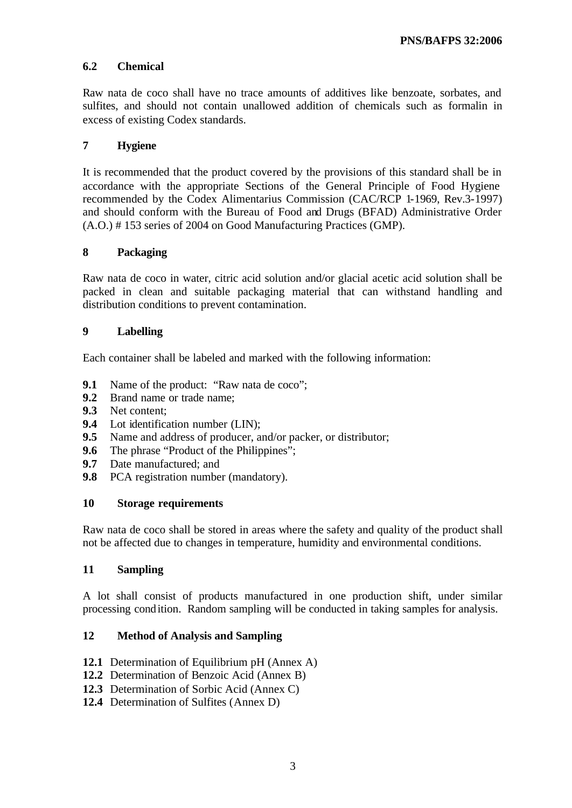#### **6.2 Chemical**

Raw nata de coco shall have no trace amounts of additives like benzoate, sorbates, and sulfites, and should not contain unallowed addition of chemicals such as formalin in excess of existing Codex standards.

#### **7 Hygiene**

It is recommended that the product covered by the provisions of this standard shall be in accordance with the appropriate Sections of the General Principle of Food Hygiene recommended by the Codex Alimentarius Commission (CAC/RCP 1-1969, Rev.3-1997) and should conform with the Bureau of Food and Drugs (BFAD) Administrative Order (A.O.) # 153 series of 2004 on Good Manufacturing Practices (GMP).

#### **8 Packaging**

Raw nata de coco in water, citric acid solution and/or glacial acetic acid solution shall be packed in clean and suitable packaging material that can withstand handling and distribution conditions to prevent contamination.

#### **9 Labelling**

Each container shall be labeled and marked with the following information:

- **9.1** Name of the product: "Raw nata de coco";
- **9.2** Brand name or trade name;
- **9.3** Net content;
- **9.4** Lot identification number (LIN);
- **9.5** Name and address of producer, and/or packer, or distributor;
- **9.6** The phrase "Product of the Philippines";
- **9.7** Date manufactured; and
- **9.8** PCA registration number (mandatory).

#### **10 Storage requirements**

Raw nata de coco shall be stored in areas where the safety and quality of the product shall not be affected due to changes in temperature, humidity and environmental conditions.

#### **11 Sampling**

A lot shall consist of products manufactured in one production shift, under similar processing condition. Random sampling will be conducted in taking samples for analysis.

#### **12 Method of Analysis and Sampling**

- **12.1** Determination of Equilibrium pH (Annex A)
- **12.2** Determination of Benzoic Acid (Annex B)
- **12.3** Determination of Sorbic Acid (Annex C)
- **12.4** Determination of Sulfites (Annex D)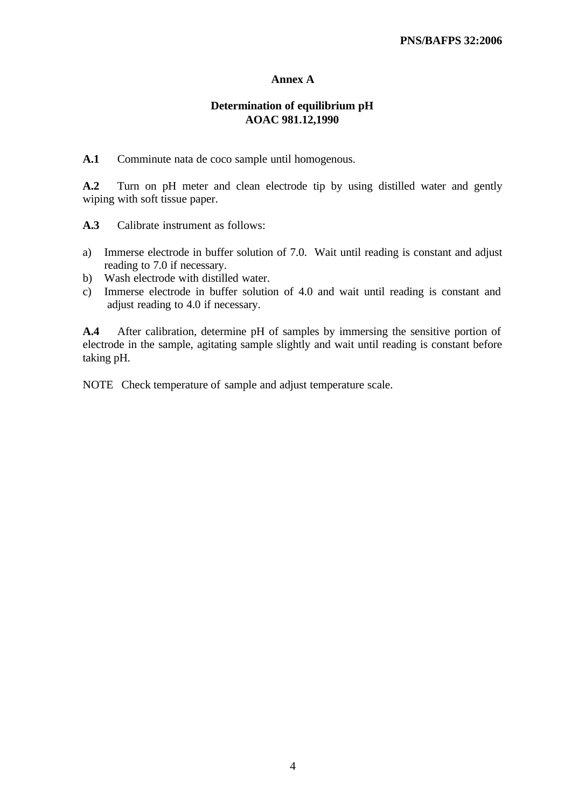#### **Annex A**

#### **Determination of equilibrium pH AOAC 981.12,1990**

**A.1** Comminute nata de coco sample until homogenous.

**A.2** Turn on pH meter and clean electrode tip by using distilled water and gently wiping with soft tissue paper.

**A.3** Calibrate instrument as follows:

- a) Immerse electrode in buffer solution of 7.0. Wait until reading is constant and adjust reading to 7.0 if necessary.
- b) Wash electrode with distilled water.
- c) Immerse electrode in buffer solution of 4.0 and wait until reading is constant and adjust reading to 4.0 if necessary.

**A.4** After calibration, determine pH of samples by immersing the sensitive portion of electrode in the sample, agitating sample slightly and wait until reading is constant before taking pH.

NOTE Check temperature of sample and adjust temperature scale.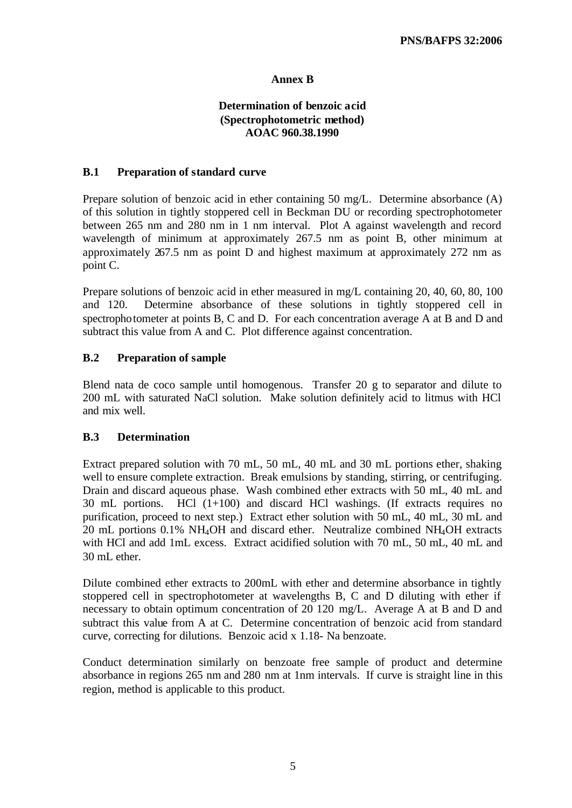#### **Annex B**

#### **Determination of benzoic acid (Spectrophotometric method) AOAC 960.38.1990**

#### **B.1 Preparation of standard curve**

Prepare solution of benzoic acid in ether containing 50 mg/L. Determine absorbance (A) of this solution in tightly stoppered cell in Beckman DU or recording spectrophotometer between 265 nm and 280 nm in 1 nm interval. Plot A against wavelength and record wavelength of minimum at approximately 267.5 nm as point B, other minimum at approximately 267.5 nm as point D and highest maximum at approximately 272 nm as point C.

Prepare solutions of benzoic acid in ether measured in mg/L containing 20, 40, 60, 80, 100 and 120. Determine absorbance of these solutions in tightly stoppered cell in spectrophotometer at points B, C and D. For each concentration average A at B and D and subtract this value from A and C. Plot difference against concentration.

#### **B.2 Preparation of sample**

Blend nata de coco sample until homogenous. Transfer 20 g to separator and dilute to 200 mL with saturated NaCl solution. Make solution definitely acid to litmus with HCl and mix well.

#### **B.3 Determination**

Extract prepared solution with 70 mL, 50 mL, 40 mL and 30 mL portions ether, shaking well to ensure complete extraction. Break emulsions by standing, stirring, or centrifuging. Drain and discard aqueous phase. Wash combined ether extracts with 50 mL, 40 mL and 30 mL portions. HCl (1+100) and discard HCl washings. (If extracts requires no purification, proceed to next step.) Extract ether solution with 50 mL, 40 mL, 30 mL and 20 mL portions 0.1% NH4OH and discard ether. Neutralize combined NH4OH extracts with HCl and add 1mL excess. Extract acidified solution with 70 mL, 50 mL, 40 mL and 30 mL ether.

Dilute combined ether extracts to 200mL with ether and determine absorbance in tightly stoppered cell in spectrophotometer at wavelengths B, C and D diluting with ether if necessary to obtain optimum concentration of 20 120 mg/L. Average A at B and D and subtract this value from A at C. Determine concentration of benzoic acid from standard curve, correcting for dilutions. Benzoic acid x 1.18- Na benzoate.

Conduct determination similarly on benzoate free sample of product and determine absorbance in regions 265 nm and 280 nm at 1nm intervals. If curve is straight line in this region, method is applicable to this product.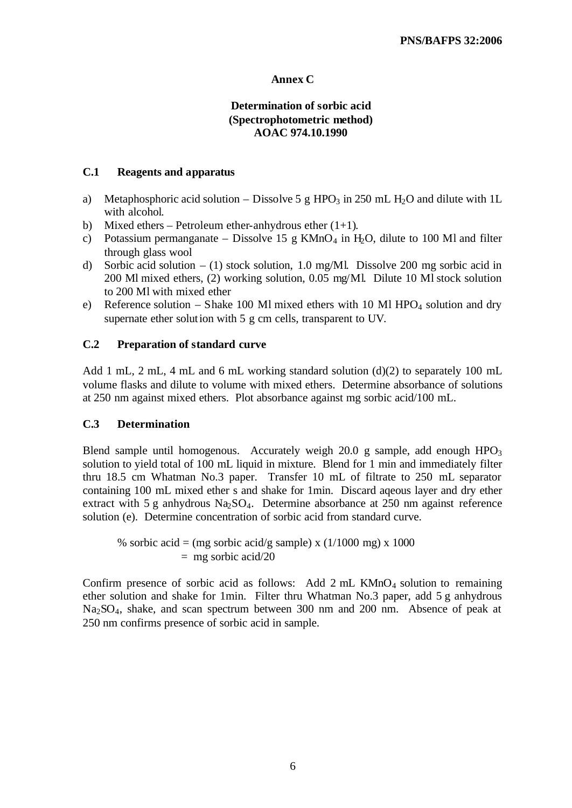#### **Annex C**

#### **Determination of sorbic acid (Spectrophotometric method) AOAC 974.10.1990**

#### **C.1 Reagents and apparatus**

- a) Metaphosphoric acid solution Dissolve 5 g HPO<sub>3</sub> in 250 mL H<sub>2</sub>O and dilute with 1L with alcohol.
- b) Mixed ethers Petroleum ether-anhydrous ether  $(1+1)$ .
- c) Potassium permanganate Dissolve 15 g KMnO<sub>4</sub> in H<sub>2</sub>O, dilute to 100 Ml and filter through glass wool
- d) Sorbic acid solution (1) stock solution, 1.0 mg/Ml. Dissolve 200 mg sorbic acid in 200 Ml mixed ethers, (2) working solution, 0.05 mg/Ml. Dilute 10 Ml stock solution to 200 Ml with mixed ether
- e) Reference solution Shake 100 Ml mixed ethers with 10 Ml HPO<sub>4</sub> solution and dry supernate ether solution with 5 g cm cells, transparent to UV.

#### **C.2 Preparation of standard curve**

Add 1 mL, 2 mL, 4 mL and 6 mL working standard solution  $(d)(2)$  to separately 100 mL volume flasks and dilute to volume with mixed ethers. Determine absorbance of solutions at 250 nm against mixed ethers. Plot absorbance against mg sorbic acid/100 mL.

#### **C.3 Determination**

Blend sample until homogenous. Accurately weigh 20.0 g sample, add enough  $HPO<sub>3</sub>$ solution to yield total of 100 mL liquid in mixture. Blend for 1 min and immediately filter thru 18.5 cm Whatman No.3 paper. Transfer 10 mL of filtrate to 250 mL separator containing 100 mL mixed ether s and shake for 1min. Discard aqeous layer and dry ether extract with 5 g anhydrous  $NaSO<sub>4</sub>$ . Determine absorbance at 250 nm against reference solution (e). Determine concentration of sorbic acid from standard curve.

% sorbic acid = (mg sorbic acid/g sample) x  $(1/1000 \text{ mg}) \times 1000$  $=$  mg sorbic acid/20

Confirm presence of sorbic acid as follows: Add  $2 \text{ mL }$ KMnO<sub>4</sub> solution to remaining ether solution and shake for 1min. Filter thru Whatman No.3 paper, add 5 g anhydrous Na2SO4, shake, and scan spectrum between 300 nm and 200 nm. Absence of peak at 250 nm confirms presence of sorbic acid in sample.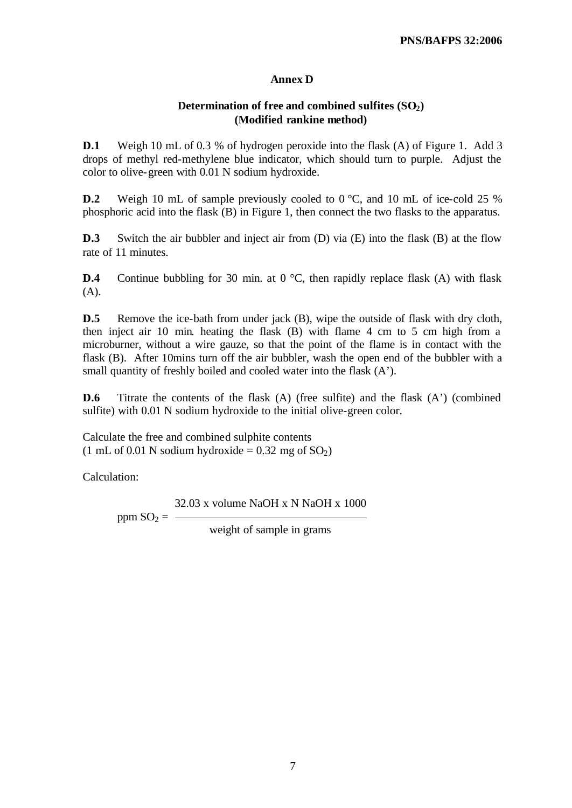#### **Annex D**

#### **Determination of free and combined sulfites (SO2) (Modified rankine method)**

**D.1** Weigh 10 mL of 0.3 % of hydrogen peroxide into the flask (A) of Figure 1. Add 3 drops of methyl red-methylene blue indicator, which should turn to purple. Adjust the color to olive-green with 0.01 N sodium hydroxide.

**D.2** Weigh 10 mL of sample previously cooled to 0 °C, and 10 mL of ice-cold 25 % phosphoric acid into the flask (B) in Figure 1, then connect the two flasks to the apparatus.

**D.3** Switch the air bubbler and inject air from (D) via (E) into the flask (B) at the flow rate of 11 minutes.

**D.4** Continue bubbling for 30 min. at 0 °C, then rapidly replace flask (A) with flask (A).

**D.5** Remove the ice-bath from under jack (B), wipe the outside of flask with dry cloth, then inject air 10 min. heating the flask (B) with flame 4 cm to 5 cm high from a microburner, without a wire gauze, so that the point of the flame is in contact with the flask (B). After 10mins turn off the air bubbler, wash the open end of the bubbler with a small quantity of freshly boiled and cooled water into the flask (A').

**D.6** Titrate the contents of the flask (A) (free sulfite) and the flask (A') (combined sulfite) with 0.01 N sodium hydroxide to the initial olive-green color.

Calculate the free and combined sulphite contents (1 mL of 0.01 N sodium hydroxide =  $0.32$  mg of  $SO<sub>2</sub>$ )

Calculation:

32.03 x volume NaOH x N NaOH x 1000

ppm  $SO_2 =$  —

weight of sample in grams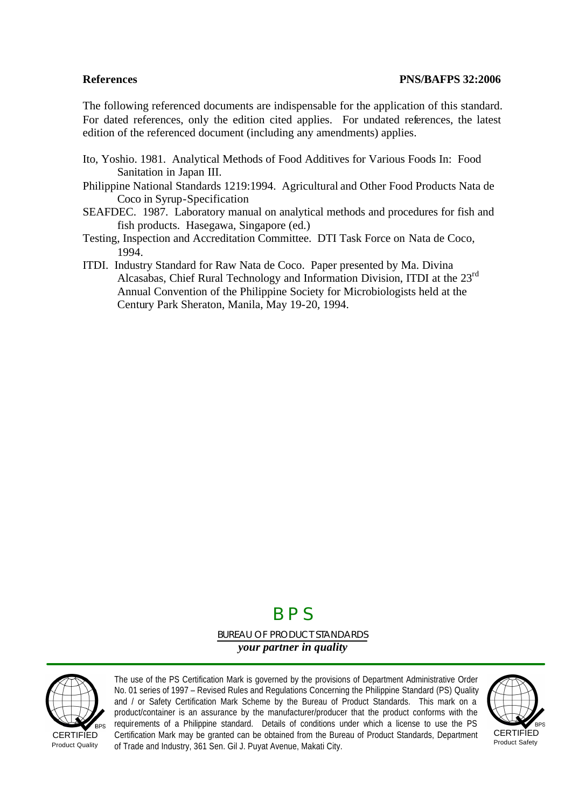The following referenced documents are indispensable for the application of this standard. For dated references, only the edition cited applies. For undated references, the latest edition of the referenced document (including any amendments) applies.

- Ito, Yoshio. 1981. Analytical Methods of Food Additives for Various Foods In: Food Sanitation in Japan III.
- Philippine National Standards 1219:1994. Agricultural and Other Food Products Nata de Coco in Syrup-Specification
- SEAFDEC. 1987. Laboratory manual on analytical methods and procedures for fish and fish products. Hasegawa, Singapore (ed.)
- Testing, Inspection and Accreditation Committee. DTI Task Force on Nata de Coco, 1994.
- ITDI. Industry Standard for Raw Nata de Coco. Paper presented by Ma. Divina Alcasabas, Chief Rural Technology and Information Division, ITDI at the 23rd Annual Convention of the Philippine Society for Microbiologists held at the Century Park Sheraton, Manila, May 19-20, 1994.

## B P S

BUREAU OF PRODUCT STANDARDS *your partner in quality*



**CERTIFIED** Product Quality

The use of the PS Certification Mark is governed by the provisions of Department Administrative Order No. 01 series of 1997 – Revised Rules and Regulations Concerning the Philippine Standard (PS) Quality and / or Safety Certification Mark Scheme by the Bureau of Product Standards. This mark on a product/container is an assurance by the manufacturer/producer that the product conforms with the requirements of a Philippine standard. Details of conditions under which a license to use the PS Certification Mark may be granted can be obtained from the Bureau of Product Standards, Department of Trade and Industry, 361 Sen. Gil J. Puyat Avenue, Makati City.